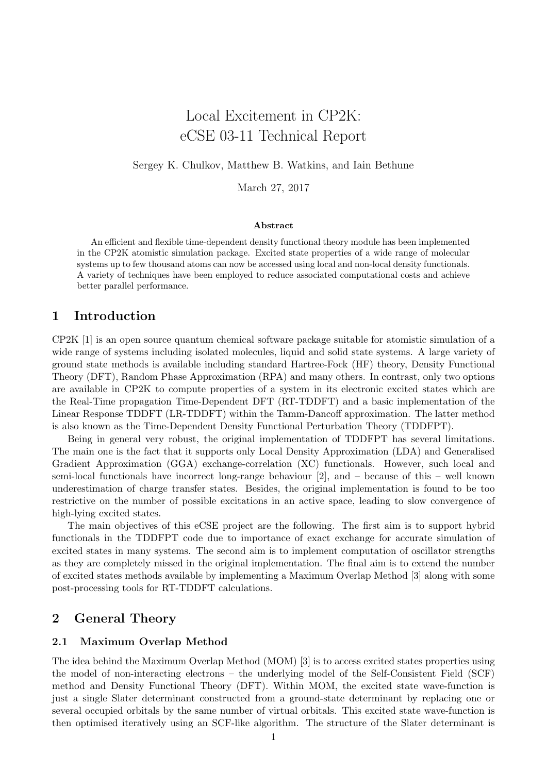# Local Excitement in CP2K: eCSE 03-11 Technical Report

Sergey K. Chulkov, Matthew B. Watkins, and Iain Bethune

March 27, 2017

#### Abstract

An efficient and flexible time-dependent density functional theory module has been implemented in the CP2K atomistic simulation package. Excited state properties of a wide range of molecular systems up to few thousand atoms can now be accessed using local and non-local density functionals. A variety of techniques have been employed to reduce associated computational costs and achieve better parallel performance.

## 1 Introduction

CP2K [\[1\]](#page-13-0) is an open source quantum chemical software package suitable for atomistic simulation of a wide range of systems including isolated molecules, liquid and solid state systems. A large variety of ground state methods is available including standard Hartree-Fock (HF) theory, Density Functional Theory (DFT), Random Phase Approximation (RPA) and many others. In contrast, only two options are available in CP2K to compute properties of a system in its electronic excited states which are the Real-Time propagation Time-Dependent DFT (RT-TDDFT) and a basic implementation of the Linear Response TDDFT (LR-TDDFT) within the Tamm-Dancoff approximation. The latter method is also known as the Time-Dependent Density Functional Perturbation Theory (TDDFPT).

Being in general very robust, the original implementation of TDDFPT has several limitations. The main one is the fact that it supports only Local Density Approximation (LDA) and Generalised Gradient Approximation (GGA) exchange-correlation (XC) functionals. However, such local and semi-local functionals have incorrect long-range behaviour [\[2\]](#page-13-1), and – because of this – well known underestimation of charge transfer states. Besides, the original implementation is found to be too restrictive on the number of possible excitations in an active space, leading to slow convergence of high-lying excited states.

The main objectives of this eCSE project are the following. The first aim is to support hybrid functionals in the TDDFPT code due to importance of exact exchange for accurate simulation of excited states in many systems. The second aim is to implement computation of oscillator strengths as they are completely missed in the original implementation. The final aim is to extend the number of excited states methods available by implementing a Maximum Overlap Method [\[3\]](#page-13-2) along with some post-processing tools for RT-TDDFT calculations.

## 2 General Theory

#### 2.1 Maximum Overlap Method

The idea behind the Maximum Overlap Method (MOM) [\[3\]](#page-13-2) is to access excited states properties using the model of non-interacting electrons – the underlying model of the Self-Consistent Field (SCF) method and Density Functional Theory (DFT). Within MOM, the excited state wave-function is just a single Slater determinant constructed from a ground-state determinant by replacing one or several occupied orbitals by the same number of virtual orbitals. This excited state wave-function is then optimised iteratively using an SCF-like algorithm. The structure of the Slater determinant is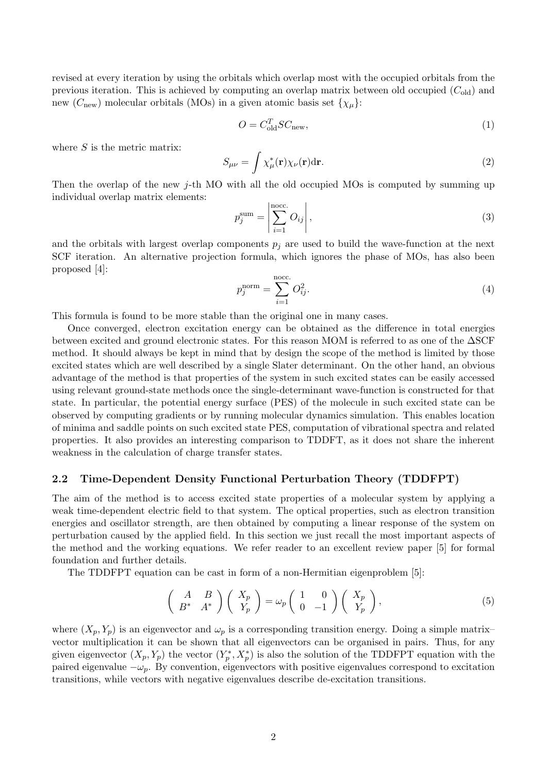revised at every iteration by using the orbitals which overlap most with the occupied orbitals from the previous iteration. This is achieved by computing an overlap matrix between old occupied  $(C_{old})$  and new ( $C_{\text{new}}$ ) molecular orbitals (MOs) in a given atomic basis set  $\{\chi_{\mu}\}$ :

$$
O = C_{\text{old}}^T S C_{\text{new}},\tag{1}
$$

where  $S$  is the metric matrix:

$$
S_{\mu\nu} = \int \chi_{\mu}^{*}(\mathbf{r}) \chi_{\nu}(\mathbf{r}) d\mathbf{r}.
$$
 (2)

Then the overlap of the new j-th MO with all the old occupied MOs is computed by summing up individual overlap matrix elements:

$$
p_j^{\text{sum}} = \left| \sum_{i=1}^{\text{noc.}} O_{ij} \right|,\tag{3}
$$

and the orbitals with largest overlap components  $p_i$  are used to build the wave-function at the next SCF iteration. An alternative projection formula, which ignores the phase of MOs, has also been proposed [\[4\]](#page-13-3):

$$
p_j^{\text{norm}} = \sum_{i=1}^{\text{noc.}} O_{ij}^2.
$$
 (4)

This formula is found to be more stable than the original one in many cases.

Once converged, electron excitation energy can be obtained as the difference in total energies between excited and ground electronic states. For this reason MOM is referred to as one of the ∆SCF method. It should always be kept in mind that by design the scope of the method is limited by those excited states which are well described by a single Slater determinant. On the other hand, an obvious advantage of the method is that properties of the system in such excited states can be easily accessed using relevant ground-state methods once the single-determinant wave-function is constructed for that state. In particular, the potential energy surface (PES) of the molecule in such excited state can be observed by computing gradients or by running molecular dynamics simulation. This enables location of minima and saddle points on such excited state PES, computation of vibrational spectra and related properties. It also provides an interesting comparison to TDDFT, as it does not share the inherent weakness in the calculation of charge transfer states.

#### 2.2 Time-Dependent Density Functional Perturbation Theory (TDDFPT)

The aim of the method is to access excited state properties of a molecular system by applying a weak time-dependent electric field to that system. The optical properties, such as electron transition energies and oscillator strength, are then obtained by computing a linear response of the system on perturbation caused by the applied field. In this section we just recall the most important aspects of the method and the working equations. We refer reader to an excellent review paper [\[5\]](#page-13-4) for formal foundation and further details.

The TDDFPT equation can be cast in form of a non-Hermitian eigenproblem [\[5\]](#page-13-4):

<span id="page-1-0"></span>
$$
\begin{pmatrix} A & B \\ B^* & A^* \end{pmatrix} \begin{pmatrix} X_p \\ Y_p \end{pmatrix} = \omega_p \begin{pmatrix} 1 & 0 \\ 0 & -1 \end{pmatrix} \begin{pmatrix} X_p \\ Y_p \end{pmatrix}, \tag{5}
$$

where  $(X_p, Y_p)$  is an eigenvector and  $\omega_p$  is a corresponding transition energy. Doing a simple matrix– vector multiplication it can be shown that all eigenvectors can be organised in pairs. Thus, for any given eigenvector  $(X_p, Y_p)$  the vector  $(Y_p^*, X_p^*)$  is also the solution of the TDDFPT equation with the paired eigenvalue  $-\omega_p$ . By convention, eigenvectors with positive eigenvalues correspond to excitation transitions, while vectors with negative eigenvalues describe de-excitation transitions.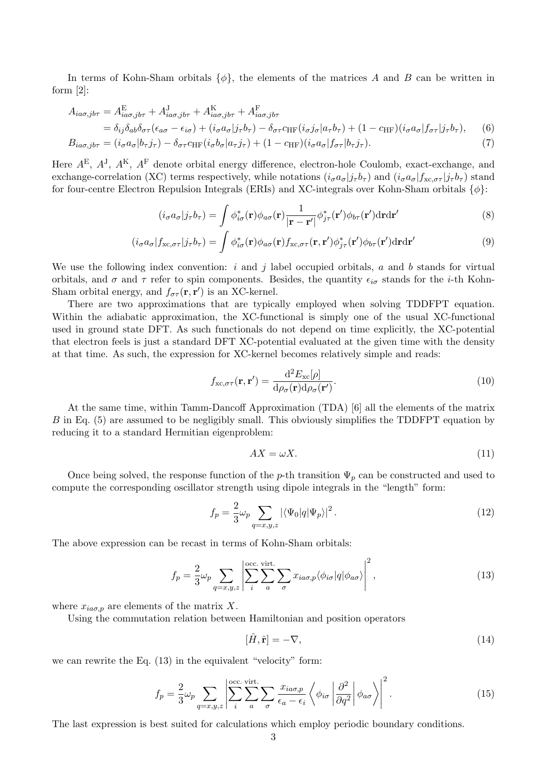In terms of Kohn-Sham orbitals  $\{\phi\}$ , the elements of the matrices A and B can be written in form [\[2\]](#page-13-1):

$$
A_{ia\sigma,jb\tau} = A_{ia\sigma,jb\tau}^{E} + A_{ia\sigma,jb\tau}^{J} + A_{ia\sigma,jb\tau}^{K} + A_{ia\sigma,jb\tau}^{F}
$$
  
\n
$$
= \delta_{ij}\delta_{ab}\delta_{\sigma\tau}(\epsilon_{a\sigma} - \epsilon_{i\sigma}) + (i_{\sigma}a_{\sigma}|j_{\tau}b_{\tau}) - \delta_{\sigma\tau}c_{HF}(i_{\sigma}j_{\sigma}|a_{\tau}b_{\tau}) + (1 - c_{HF})(i_{\sigma}a_{\sigma}|f_{\sigma\tau}|j_{\tau}b_{\tau}), \qquad (6)
$$
  
\n
$$
B_{ia\sigma,jb\tau} = (i_{\sigma}a_{\sigma}|b_{\tau}j_{\tau}) - \delta_{\sigma\tau}c_{HF}(i_{\sigma}b_{\sigma}|a_{\tau}j_{\tau}) + (1 - c_{HF})(i_{\sigma}a_{\sigma}|f_{\sigma\tau}|b_{\tau}j_{\tau}). \qquad (7)
$$

Here  $A^{E}$ ,  $A^{J}$ ,  $A^{K}$ ,  $A^{F}$  denote orbital energy difference, electron-hole Coulomb, exact-exchange, and exchange-correlation (XC) terms respectively, while notations  $(i_{\sigma}a_{\sigma}|j_{\tau}b_{\tau})$  and  $(i_{\sigma}a_{\sigma}|j_{\text{xc},\sigma\tau}|j_{\tau}b_{\tau})$  stand for four-centre Electron Repulsion Integrals (ERIs) and XC-integrals over Kohn-Sham orbitals  $\{\phi\}$ :

$$
(i_{\sigma}a_{\sigma}|j_{\tau}b_{\tau}) = \int \phi_{i\sigma}^{*}(\mathbf{r})\phi_{a\sigma}(\mathbf{r}) \frac{1}{|\mathbf{r} - \mathbf{r}'|} \phi_{j\tau}^{*}(\mathbf{r}')\phi_{b\tau}(\mathbf{r}')d\mathbf{r}d\mathbf{r}'
$$
\n(8)

$$
(i_{\sigma}a_{\sigma}|f_{\text{xc},\sigma\tau}|j_{\tau}b_{\tau}) = \int \phi_{i\sigma}^{*}(\mathbf{r})\phi_{a\sigma}(\mathbf{r})f_{\text{xc},\sigma\tau}(\mathbf{r},\mathbf{r}')\phi_{j\tau}^{*}(\mathbf{r}')\phi_{b\tau}(\mathbf{r}')d\mathbf{r}d\mathbf{r}'
$$
(9)

We use the following index convention:  $i$  and  $j$  label occupied orbitals,  $a$  and  $b$  stands for virtual orbitals, and  $\sigma$  and  $\tau$  refer to spin components. Besides, the quantity  $\epsilon_{i\sigma}$  stands for the *i*-th Kohn-Sham orbital energy, and  $f_{\sigma\tau}(\mathbf{r}, \mathbf{r}')$  is an XC-kernel.

There are two approximations that are typically employed when solving TDDFPT equation. Within the adiabatic approximation, the XC-functional is simply one of the usual XC-functional used in ground state DFT. As such functionals do not depend on time explicitly, the XC-potential that electron feels is just a standard DFT XC-potential evaluated at the given time with the density at that time. As such, the expression for XC-kernel becomes relatively simple and reads:

$$
f_{\text{xc},\sigma\tau}(\mathbf{r},\mathbf{r}') = \frac{\mathrm{d}^2 E_{\text{xc}}[\rho]}{\mathrm{d}\rho_{\sigma}(\mathbf{r})\mathrm{d}\rho_{\sigma}(\mathbf{r}')}.
$$
(10)

At the same time, within Tamm-Dancoff Approximation (TDA) [\[6\]](#page-13-5) all the elements of the matrix B in Eq. [\(5\)](#page-1-0) are assumed to be negligibly small. This obviously simplifies the TDDFPT equation by reducing it to a standard Hermitian eigenproblem:

<span id="page-2-1"></span>
$$
AX = \omega X. \tag{11}
$$

Once being solved, the response function of the p-th transition  $\Psi_p$  can be constructed and used to compute the corresponding oscillator strength using dipole integrals in the "length" form:

$$
f_p = \frac{2}{3}\omega_p \sum_{q=x,y,z} |\langle \Psi_0 | q | \Psi_p \rangle|^2.
$$
 (12)

The above expression can be recast in terms of Kohn-Sham orbitals:

<span id="page-2-0"></span>
$$
f_p = \frac{2}{3}\omega_p \sum_{q=x,y,z} \left| \sum_{i}^{\text{occ. virt.}} \sum_{a} \sum_{\sigma} x_{ia\sigma,p} \langle \phi_{i\sigma} | q | \phi_{a\sigma} \rangle \right|^2, \tag{13}
$$

where  $x_{ia\sigma,p}$  are elements of the matrix X.

Using the commutation relation between Hamiltonian and position operators

$$
[\hat{H}, \hat{\mathbf{r}}] = -\nabla,\tag{14}
$$

we can rewrite the Eq. [\(13\)](#page-2-0) in the equivalent "velocity" form:

$$
f_p = \frac{2}{3}\omega_p \sum_{q=x,y,z} \left| \sum_{i}^{\text{occ. virt.}} \sum_{a} \sum_{\sigma} \frac{x_{ia\sigma,p}}{\epsilon_a - \epsilon_i} \left\langle \phi_{i\sigma} \left| \frac{\partial^2}{\partial q^2} \right| \phi_{a\sigma} \right\rangle \right|^2.
$$
 (15)

The last expression is best suited for calculations which employ periodic boundary conditions.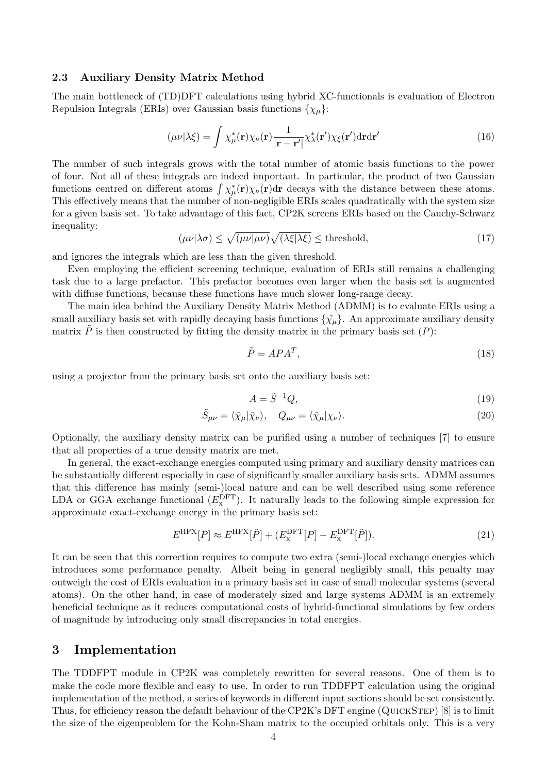#### 2.3 Auxiliary Density Matrix Method

The main bottleneck of (TD)DFT calculations using hybrid XC-functionals is evaluation of Electron Repulsion Integrals (ERIs) over Gaussian basis functions  $\{\chi_{\mu}\}$ :

<span id="page-3-0"></span>
$$
(\mu\nu|\lambda\xi) = \int \chi^*_{\mu}(\mathbf{r}) \chi_{\nu}(\mathbf{r}) \frac{1}{|\mathbf{r} - \mathbf{r}'|} \chi^*_{\lambda}(\mathbf{r}') \chi_{\xi}(\mathbf{r}') d\mathbf{r} d\mathbf{r}'
$$
 (16)

The number of such integrals grows with the total number of atomic basis functions to the power of four. Not all of these integrals are indeed important. In particular, the product of two Gaussian functions centred on different atoms  $\int \chi^*_{\mu}(\mathbf{r}) \chi_{\nu}(\mathbf{r}) d\mathbf{r}$  decays with the distance between these atoms. This effectively means that the number of non-negligible ERIs scales quadratically with the system size for a given basis set. To take advantage of this fact, CP2K screens ERIs based on the Cauchy-Schwarz inequality:

<span id="page-3-1"></span>
$$
(\mu\nu|\lambda\sigma) \le \sqrt{(\mu\nu|\mu\nu)}\sqrt{(\lambda\xi|\lambda\xi)} \le \text{threshold},\tag{17}
$$

and ignores the integrals which are less than the given threshold.

Even employing the efficient screening technique, evaluation of ERIs still remains a challenging task due to a large prefactor. This prefactor becomes even larger when the basis set is augmented with diffuse functions, because these functions have much slower long-range decay.

The main idea behind the Auxiliary Density Matrix Method (ADMM) is to evaluate ERIs using a small auxiliary basis set with rapidly decaying basis functions  $\{\tilde{\chi}_{\mu}\}\$ . An approximate auxiliary density matrix  $\tilde{P}$  is then constructed by fitting the density matrix in the primary basis set  $(P)$ :

$$
\tilde{P} = A P A^T,\tag{18}
$$

using a projector from the primary basis set onto the auxiliary basis set:

$$
A = \tilde{S}^{-1}Q,\tag{19}
$$

$$
\tilde{S}_{\mu\nu} = \langle \tilde{\chi}_{\mu} | \tilde{\chi}_{\nu} \rangle, \quad Q_{\mu\nu} = \langle \tilde{\chi}_{\mu} | \chi_{\nu} \rangle.
$$
\n(20)

Optionally, the auxiliary density matrix can be purified using a number of techniques [\[7\]](#page-13-6) to ensure that all properties of a true density matrix are met.

In general, the exact-exchange energies computed using primary and auxiliary density matrices can be substantially different especially in case of significantly smaller auxiliary basis sets. ADMM assumes that this difference has mainly (semi-)local nature and can be well described using some reference LDA or GGA exchange functional  $(E_{\rm x}^{\rm DFT})$ . It naturally leads to the following simple expression for approximate exact-exchange energy in the primary basis set:

$$
E^{\text{HFX}}[P] \approx E^{\text{HFX}}[\tilde{P}] + (E_{\text{x}}^{\text{DFT}}[P] - E_{\text{x}}^{\text{DFT}}[\tilde{P}]). \tag{21}
$$

It can be seen that this correction requires to compute two extra (semi-)local exchange energies which introduces some performance penalty. Albeit being in general negligibly small, this penalty may outweigh the cost of ERIs evaluation in a primary basis set in case of small molecular systems (several atoms). On the other hand, in case of moderately sized and large systems ADMM is an extremely beneficial technique as it reduces computational costs of hybrid-functional simulations by few orders of magnitude by introducing only small discrepancies in total energies.

## 3 Implementation

The TDDFPT module in CP2K was completely rewritten for several reasons. One of them is to make the code more flexible and easy to use. In order to run TDDFPT calculation using the original implementation of the method, a series of keywords in different input sections should be set consistently. Thus, for efficiency reason the default behaviour of the CP2K's DFT engine (QuickStep) [\[8\]](#page-13-7) is to limit the size of the eigenproblem for the Kohn-Sham matrix to the occupied orbitals only. This is a very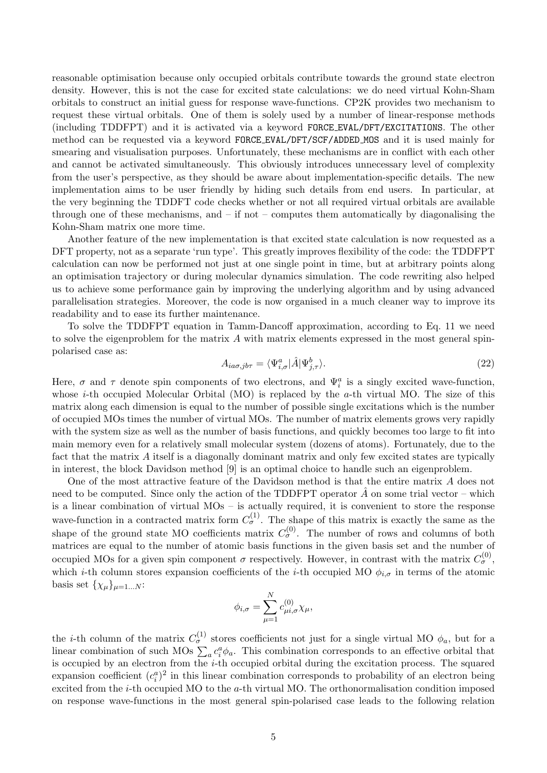reasonable optimisation because only occupied orbitals contribute towards the ground state electron density. However, this is not the case for excited state calculations: we do need virtual Kohn-Sham orbitals to construct an initial guess for response wave-functions. CP2K provides two mechanism to request these virtual orbitals. One of them is solely used by a number of linear-response methods (including TDDFPT) and it is activated via a keyword FORCE EVAL/DFT/EXCITATIONS. The other method can be requested via a keyword FORCE EVAL/DFT/SCF/ADDED MOS and it is used mainly for smearing and visualisation purposes. Unfortunately, these mechanisms are in conflict with each other and cannot be activated simultaneously. This obviously introduces unnecessary level of complexity from the user's perspective, as they should be aware about implementation-specific details. The new implementation aims to be user friendly by hiding such details from end users. In particular, at the very beginning the TDDFT code checks whether or not all required virtual orbitals are available through one of these mechanisms, and  $-$  if not  $-$  computes them automatically by diagonalising the Kohn-Sham matrix one more time.

Another feature of the new implementation is that excited state calculation is now requested as a DFT property, not as a separate 'run type'. This greatly improves flexibility of the code: the TDDFPT calculation can now be performed not just at one single point in time, but at arbitrary points along an optimisation trajectory or during molecular dynamics simulation. The code rewriting also helped us to achieve some performance gain by improving the underlying algorithm and by using advanced parallelisation strategies. Moreover, the code is now organised in a much cleaner way to improve its readability and to ease its further maintenance.

To solve the TDDFPT equation in Tamm-Dancoff approximation, according to Eq. [11](#page-2-1) we need to solve the eigenproblem for the matrix A with matrix elements expressed in the most general spinpolarised case as:

<span id="page-4-0"></span>
$$
A_{ia\sigma,jb\tau} = \langle \Psi_{i,\sigma}^a | \hat{A} | \Psi_{j,\tau}^b \rangle.
$$
\n(22)

Here,  $\sigma$  and  $\tau$  denote spin components of two electrons, and  $\Psi_i^a$  is a singly excited wave-function, whose *i*-th occupied Molecular Orbital (MO) is replaced by the *a*-th virtual MO. The size of this matrix along each dimension is equal to the number of possible single excitations which is the number of occupied MOs times the number of virtual MOs. The number of matrix elements grows very rapidly with the system size as well as the number of basis functions, and quickly becomes too large to fit into main memory even for a relatively small molecular system (dozens of atoms). Fortunately, due to the fact that the matrix A itself is a diagonally dominant matrix and only few excited states are typically in interest, the block Davidson method [\[9\]](#page-13-8) is an optimal choice to handle such an eigenproblem.

One of the most attractive feature of the Davidson method is that the entire matrix A does not need to be computed. Since only the action of the TDDFPT operator  $A$  on some trial vector – which is a linear combination of virtual MOs – is actually required, it is convenient to store the response wave-function in a contracted matrix form  $C_{\sigma}^{(1)}$ . The shape of this matrix is exactly the same as the shape of the ground state MO coefficients matrix  $C_{\sigma}^{(0)}$ . The number of rows and columns of both matrices are equal to the number of atomic basis functions in the given basis set and the number of occupied MOs for a given spin component  $\sigma$  respectively. However, in contrast with the matrix  $C_{\sigma}^{(0)}$ , which *i*-th column stores expansion coefficients of the *i*-th occupied MO  $\phi_{i,\sigma}$  in terms of the atomic basis set  $\{\chi_\mu\}_{\mu=1...N}$ :

$$
\phi_{i,\sigma} = \sum_{\mu=1}^N c_{\mu i,\sigma}^{(0)} \chi_{\mu},
$$

the *i*-th column of the matrix  $C_{\sigma}^{(1)}$  stores coefficients not just for a single virtual MO  $\phi_a$ , but for a linear combination of such MOs  $\sum_a c_i^a \phi_a$ . This combination corresponds to an effective orbital that is occupied by an electron from the i-th occupied orbital during the excitation process. The squared expansion coefficient  $(c_i^a)^2$  in this linear combination corresponds to probability of an electron being excited from the i-th occupied MO to the a-th virtual MO. The orthonormalisation condition imposed on response wave-functions in the most general spin-polarised case leads to the following relation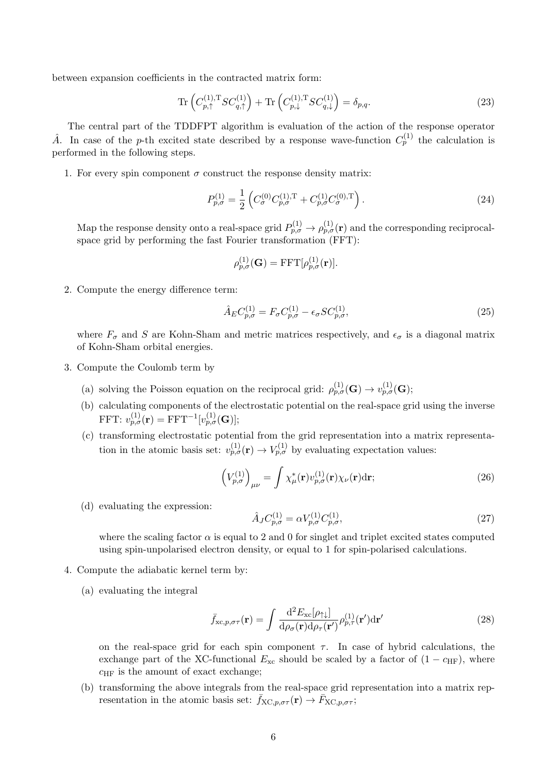between expansion coefficients in the contracted matrix form:

$$
\operatorname{Tr}\left(C_{p,\uparrow}^{(1),\mathrm{T}}SC_{q,\uparrow}^{(1)}\right) + \operatorname{Tr}\left(C_{p,\downarrow}^{(1),\mathrm{T}}SC_{q,\downarrow}^{(1)}\right) = \delta_{p,q}.\tag{23}
$$

The central part of the TDDFPT algorithm is evaluation of the action of the response operator  $\hat{A}$ . In case of the p-th excited state described by a response wave-function  $C_p^{(1)}$  the calculation is performed in the following steps.

1. For every spin component  $\sigma$  construct the response density matrix:

$$
P_{p,\sigma}^{(1)} = \frac{1}{2} \left( C_{\sigma}^{(0)} C_{p,\sigma}^{(1),\mathrm{T}} + C_{p,\sigma}^{(1)} C_{\sigma}^{(0),\mathrm{T}} \right). \tag{24}
$$

Map the response density onto a real-space grid  $P_{p,\sigma}^{(1)} \to \rho_{p,\sigma}^{(1)}(\mathbf{r})$  and the corresponding reciprocalspace grid by performing the fast Fourier transformation (FFT):

$$
\rho_{p,\sigma}^{(1)}(\mathbf{G}) = \mathrm{FFT}[\rho_{p,\sigma}^{(1)}(\mathbf{r})].
$$

2. Compute the energy difference term:

$$
\hat{A}_E C_{p,\sigma}^{(1)} = F_\sigma C_{p,\sigma}^{(1)} - \epsilon_\sigma SC_{p,\sigma}^{(1)},\tag{25}
$$

where  $F_{\sigma}$  and S are Kohn-Sham and metric matrices respectively, and  $\epsilon_{\sigma}$  is a diagonal matrix of Kohn-Sham orbital energies.

- 3. Compute the Coulomb term by
	- (a) solving the Poisson equation on the reciprocal grid:  $\rho_{p,\sigma}^{(1)}(\mathbf{G}) \to v_{p,\sigma}^{(1)}(\mathbf{G});$
	- (b) calculating components of the electrostatic potential on the real-space grid using the inverse  $\operatorname{FFT:}~ v_{p,\sigma}^{(1)}(\mathbf{r})=\operatorname{FFT}^{-1}[v_{p,\sigma}^{(1)}(\mathbf{G})];$
	- (c) transforming electrostatic potential from the grid representation into a matrix representation in the atomic basis set:  $v_{p,\sigma}^{(1)}(\mathbf{r}) \to V_{p,\sigma}^{(1)}$  by evaluating expectation values:

$$
\left(V_{p,\sigma}^{(1)}\right)_{\mu\nu} = \int \chi_{\mu}^*(\mathbf{r}) v_{p,\sigma}^{(1)}(\mathbf{r}) \chi_{\nu}(\mathbf{r}) d\mathbf{r};\tag{26}
$$

(d) evaluating the expression:

$$
\hat{A}_J C_{p,\sigma}^{(1)} = \alpha V_{p,\sigma}^{(1)} C_{p,\sigma}^{(1)},\tag{27}
$$

where the scaling factor  $\alpha$  is equal to 2 and 0 for singlet and triplet excited states computed using spin-unpolarised electron density, or equal to 1 for spin-polarised calculations.

- 4. Compute the adiabatic kernel term by:
	- (a) evaluating the integral

$$
\bar{f}_{\text{xc},p,\sigma\tau}(\mathbf{r}) = \int \frac{\mathrm{d}^2 E_{\text{xc}}[\rho_{\uparrow\downarrow}]}{\mathrm{d}\rho_{\sigma}(\mathbf{r})\mathrm{d}\rho_{\tau}(\mathbf{r}')} \rho_{p,\tau}^{(1)}(\mathbf{r}')\mathrm{d}\mathbf{r}'
$$
\n(28)

on the real-space grid for each spin component  $\tau$ . In case of hybrid calculations, the exchange part of the XC-functional  $E_{\rm xc}$  should be scaled by a factor of  $(1 - c_{\rm HF})$ , where  $c_{HF}$  is the amount of exact exchange;

(b) transforming the above integrals from the real-space grid representation into a matrix representation in the atomic basis set:  $\bar{f}_{\text{XC},p,\sigma\tau}(\mathbf{r}) \to \bar{F}_{\text{XC},p,\sigma\tau}$ ;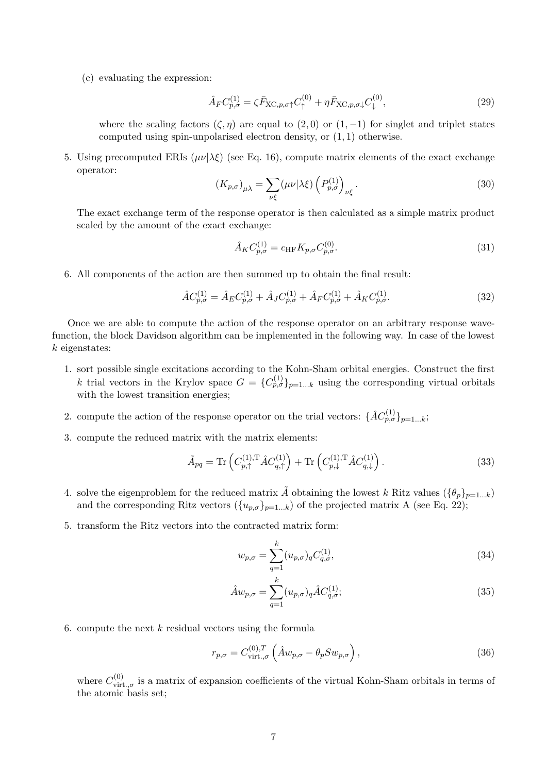(c) evaluating the expression:

$$
\hat{A}_F C_{p,\sigma}^{(1)} = \zeta \bar{F}_{\text{XC},p,\sigma\uparrow} C_{\uparrow}^{(0)} + \eta \bar{F}_{\text{XC},p,\sigma\downarrow} C_{\downarrow}^{(0)},\tag{29}
$$

where the scaling factors  $(\zeta, \eta)$  are equal to  $(2, 0)$  or  $(1, -1)$  for singlet and triplet states computed using spin-unpolarised electron density, or  $(1, 1)$  otherwise.

5. Using precomputed ERIs  $(\mu\nu|\lambda\xi)$  (see Eq. [16\)](#page-3-0), compute matrix elements of the exact exchange operator:

$$
(K_{p,\sigma})_{\mu\lambda} = \sum_{\nu\xi} (\mu\nu|\lambda\xi) \left(P_{p,\sigma}^{(1)}\right)_{\nu\xi}.
$$
 (30)

The exact exchange term of the response operator is then calculated as a simple matrix product scaled by the amount of the exact exchange:

$$
\hat{A}_K C_{p,\sigma}^{(1)} = c_{\text{HF}} K_{p,\sigma} C_{p,\sigma}^{(0)}.
$$
\n(31)

6. All components of the action are then summed up to obtain the final result:

$$
\hat{A}C_{p,\sigma}^{(1)} = \hat{A}_E C_{p,\sigma}^{(1)} + \hat{A}_J C_{p,\sigma}^{(1)} + \hat{A}_F C_{p,\sigma}^{(1)} + \hat{A}_K C_{p,\sigma}^{(1)}.
$$
\n(32)

Once we are able to compute the action of the response operator on an arbitrary response wavefunction, the block Davidson algorithm can be implemented in the following way. In case of the lowest k eigenstates:

- 1. sort possible single excitations according to the Kohn-Sham orbital energies. Construct the first k trial vectors in the Krylov space  $G = \{C_{p,\sigma}^{(1)}\}_{p=1...k}$  using the corresponding virtual orbitals with the lowest transition energies;
- <span id="page-6-0"></span>2. compute the action of the response operator on the trial vectors:  $\{\hat{A}C_{p,\sigma}^{(1)}\}_{p=1...k}$ ;
- 3. compute the reduced matrix with the matrix elements:

$$
\tilde{A}_{pq} = \text{Tr}\left(C_{p,\uparrow}^{(1),\text{T}} \hat{A} C_{q,\uparrow}^{(1)}\right) + \text{Tr}\left(C_{p,\downarrow}^{(1),\text{T}} \hat{A} C_{q,\downarrow}^{(1)}\right). \tag{33}
$$

- 4. solve the eigenproblem for the reduced matrix  $\tilde{A}$  obtaining the lowest k Ritz values  $(\{\theta_p\}_{p=1...k})$ and the corresponding Ritz vectors  $(\{u_{p,\sigma}\}_{p=1...k})$  of the projected matrix A (see Eq. [22\)](#page-4-0);
- 5. transform the Ritz vectors into the contracted matrix form:

$$
w_{p,\sigma} = \sum_{q=1}^{k} (u_{p,\sigma})_q C_{q,\sigma}^{(1)},
$$
\n(34)

$$
\hat{A}w_{p,\sigma} = \sum_{q=1}^{k} (u_{p,\sigma})_q \hat{A} C_{q,\sigma}^{(1)}; \tag{35}
$$

6. compute the next  $k$  residual vectors using the formula

$$
r_{p,\sigma} = C_{\text{virt.},\sigma}^{(0),T} \left( \hat{A} w_{p,\sigma} - \theta_p S w_{p,\sigma} \right), \qquad (36)
$$

where  $C_{\text{virt.},\sigma}^{(0)}$  is a matrix of expansion coefficients of the virtual Kohn-Sham orbitals in terms of the atomic basis set;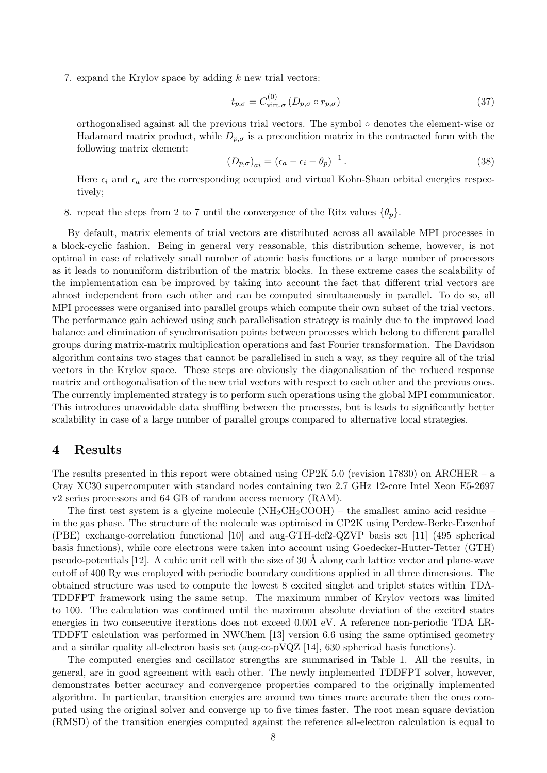<span id="page-7-0"></span>7. expand the Krylov space by adding  $k$  new trial vectors:

$$
t_{p,\sigma} = C_{\text{virt.}\sigma}^{(0)} \left( D_{p,\sigma} \circ r_{p,\sigma} \right) \tag{37}
$$

orthogonalised against all the previous trial vectors. The symbol ◦ denotes the element-wise or Hadamard matrix product, while  $D_{p,\sigma}$  is a precondition matrix in the contracted form with the following matrix element:

$$
(D_{p,\sigma})_{ai} = (\epsilon_a - \epsilon_i - \theta_p)^{-1}.
$$
\n(38)

Here  $\epsilon_i$  and  $\epsilon_a$  are the corresponding occupied and virtual Kohn-Sham orbital energies respectively;

8. repeat the steps from [2](#page-6-0) to [7](#page-7-0) until the convergence of the Ritz values  $\{\theta_p\}$ .

By default, matrix elements of trial vectors are distributed across all available MPI processes in a block-cyclic fashion. Being in general very reasonable, this distribution scheme, however, is not optimal in case of relatively small number of atomic basis functions or a large number of processors as it leads to nonuniform distribution of the matrix blocks. In these extreme cases the scalability of the implementation can be improved by taking into account the fact that different trial vectors are almost independent from each other and can be computed simultaneously in parallel. To do so, all MPI processes were organised into parallel groups which compute their own subset of the trial vectors. The performance gain achieved using such parallelisation strategy is mainly due to the improved load balance and elimination of synchronisation points between processes which belong to different parallel groups during matrix-matrix multiplication operations and fast Fourier transformation. The Davidson algorithm contains two stages that cannot be parallelised in such a way, as they require all of the trial vectors in the Krylov space. These steps are obviously the diagonalisation of the reduced response matrix and orthogonalisation of the new trial vectors with respect to each other and the previous ones. The currently implemented strategy is to perform such operations using the global MPI communicator. This introduces unavoidable data shuffling between the processes, but is leads to significantly better scalability in case of a large number of parallel groups compared to alternative local strategies.

## 4 Results

The results presented in this report were obtained using CP2K 5.0 (revision 17830) on ARCHER – a Cray XC30 supercomputer with standard nodes containing two 2.7 GHz 12-core Intel Xeon E5-2697 v2 series processors and 64 GB of random access memory (RAM).

The first test system is a glycine molecule  $(NH_2CH_2COOH)$  – the smallest amino acid residue – in the gas phase. The structure of the molecule was optimised in CP2K using Perdew-Berke-Erzenhof (PBE) exchange-correlation functional [\[10\]](#page-13-9) and aug-GTH-def2-QZVP basis set [\[11\]](#page-13-10) (495 spherical basis functions), while core electrons were taken into account using Goedecker-Hutter-Tetter (GTH) pseudo-potentials  $[12]$ . A cubic unit cell with the size of 30 Å along each lattice vector and plane-wave cutoff of 400 Ry was employed with periodic boundary conditions applied in all three dimensions. The obtained structure was used to compute the lowest 8 excited singlet and triplet states within TDA-TDDFPT framework using the same setup. The maximum number of Krylov vectors was limited to 100. The calculation was continued until the maximum absolute deviation of the excited states energies in two consecutive iterations does not exceed 0.001 eV. A reference non-periodic TDA LR-TDDFT calculation was performed in NWChem [\[13\]](#page-13-12) version 6.6 using the same optimised geometry and a similar quality all-electron basis set (aug-cc-pVQZ [\[14\]](#page-13-13), 630 spherical basis functions).

The computed energies and oscillator strengths are summarised in Table [1.](#page-8-0) All the results, in general, are in good agreement with each other. The newly implemented TDDFPT solver, however, demonstrates better accuracy and convergence properties compared to the originally implemented algorithm. In particular, transition energies are around two times more accurate then the ones computed using the original solver and converge up to five times faster. The root mean square deviation (RMSD) of the transition energies computed against the reference all-electron calculation is equal to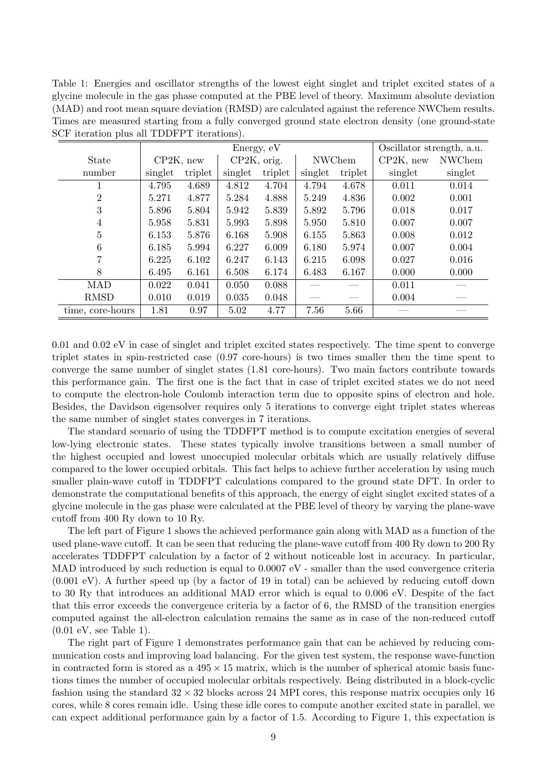<span id="page-8-0"></span>Table 1: Energies and oscillator strengths of the lowest eight singlet and triplet excited states of a glycine molecule in the gas phase computed at the PBE level of theory. Maximum absolute deviation (MAD) and root mean square deviation (RMSD) are calculated against the reference NWChem results. Times are measured starting from a fully converged ground state electron density (one ground-state SCF iteration plus all TDDFPT iterations).

|                  | Energy, eV   |         |             |         |               | Oscillator strength, a.u. |              |               |
|------------------|--------------|---------|-------------|---------|---------------|---------------------------|--------------|---------------|
| <b>State</b>     | $CP2K$ , new |         | CP2K, orig. |         | <b>NWChem</b> |                           | $CP2K$ , new | <b>NWChem</b> |
| number           | singlet      | triplet | singlet     | triplet | singlet       | triplet                   | singlet      | singlet       |
|                  | 4.795        | 4.689   | 4.812       | 4.704   | 4.794         | 4.678                     | 0.011        | 0.014         |
| $\overline{2}$   | 5.271        | 4.877   | 5.284       | 4.888   | 5.249         | 4.836                     | 0.002        | 0.001         |
| 3                | 5.896        | 5.804   | 5.942       | 5.839   | 5.892         | 5.796                     | 0.018        | 0.017         |
| 4                | 5.958        | 5.831   | 5.993       | 5.898   | 5.950         | 5.810                     | 0.007        | 0.007         |
| 5                | 6.153        | 5.876   | 6.168       | 5.908   | 6.155         | 5.863                     | 0.008        | 0.012         |
| 6                | 6.185        | 5.994   | 6.227       | 6.009   | 6.180         | 5.974                     | 0.007        | 0.004         |
|                  | 6.225        | 6.102   | 6.247       | 6.143   | 6.215         | 6.098                     | 0.027        | 0.016         |
| 8                | 6.495        | 6.161   | 6.508       | 6.174   | 6.483         | 6.167                     | 0.000        | 0.000         |
| <b>MAD</b>       | 0.022        | 0.041   | 0.050       | 0.088   |               |                           | 0.011        |               |
| <b>RMSD</b>      | 0.010        | 0.019   | 0.035       | 0.048   |               |                           | 0.004        |               |
| time, core-hours | 1.81         | 0.97    | 5.02        | 4.77    | 7.56          | 5.66                      |              |               |

0.01 and 0.02 eV in case of singlet and triplet excited states respectively. The time spent to converge triplet states in spin-restricted case (0.97 core-hours) is two times smaller then the time spent to converge the same number of singlet states (1.81 core-hours). Two main factors contribute towards this performance gain. The first one is the fact that in case of triplet excited states we do not need to compute the electron-hole Coulomb interaction term due to opposite spins of electron and hole. Besides, the Davidson eigensolver requires only 5 iterations to converge eight triplet states whereas the same number of singlet states converges in 7 iterations.

The standard scenario of using the TDDFPT method is to compute excitation energies of several low-lying electronic states. These states typically involve transitions between a small number of the highest occupied and lowest unoccupied molecular orbitals which are usually relatively diffuse compared to the lower occupied orbitals. This fact helps to achieve further acceleration by using much smaller plain-wave cutoff in TDDFPT calculations compared to the ground state DFT. In order to demonstrate the computational benefits of this approach, the energy of eight singlet excited states of a glycine molecule in the gas phase were calculated at the PBE level of theory by varying the plane-wave cutoff from 400 Ry down to 10 Ry.

The left part of Figure [1](#page-9-0) shows the achieved performance gain along with MAD as a function of the used plane-wave cutoff. It can be seen that reducing the plane-wave cutoff from 400 Ry down to 200 Ry accelerates TDDFPT calculation by a factor of 2 without noticeable lost in accuracy. In particular, MAD introduced by such reduction is equal to  $0.0007$  eV - smaller than the used convergence criteria (0.001 eV). A further speed up (by a factor of 19 in total) can be achieved by reducing cutoff down to 30 Ry that introduces an additional MAD error which is equal to 0.006 eV. Despite of the fact that this error exceeds the convergence criteria by a factor of 6, the RMSD of the transition energies computed against the all-electron calculation remains the same as in case of the non-reduced cutoff (0.01 eV, see Table [1\)](#page-8-0).

The right part of Figure [1](#page-9-0) demonstrates performance gain that can be achieved by reducing communication costs and improving load balancing. For the given test system, the response wave-function in contracted form is stored as a  $495 \times 15$  matrix, which is the number of spherical atomic basis functions times the number of occupied molecular orbitals respectively. Being distributed in a block-cyclic fashion using the standard  $32 \times 32$  blocks across 24 MPI cores, this response matrix occupies only 16 cores, while 8 cores remain idle. Using these idle cores to compute another excited state in parallel, we can expect additional performance gain by a factor of 1.5. According to Figure [1,](#page-9-0) this expectation is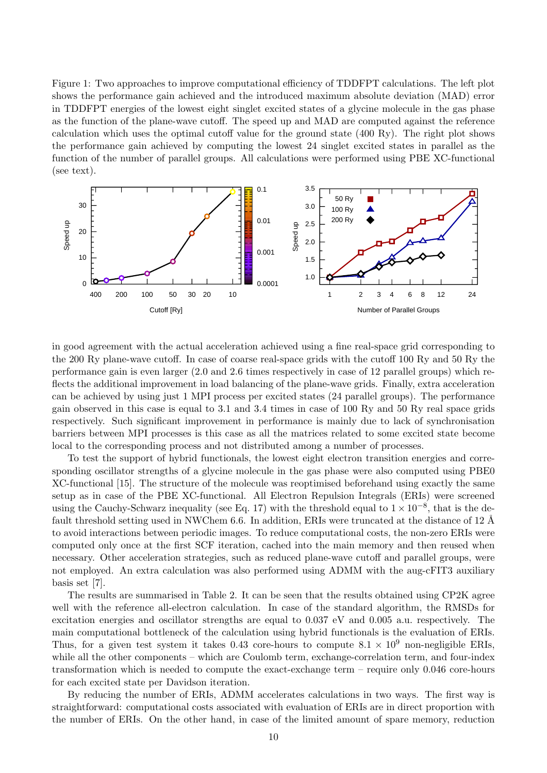<span id="page-9-0"></span>Figure 1: Two approaches to improve computational efficiency of TDDFPT calculations. The left plot shows the performance gain achieved and the introduced maximum absolute deviation (MAD) error in TDDFPT energies of the lowest eight singlet excited states of a glycine molecule in the gas phase as the function of the plane-wave cutoff. The speed up and MAD are computed against the reference calculation which uses the optimal cutoff value for the ground state (400 Ry). The right plot shows the performance gain achieved by computing the lowest 24 singlet excited states in parallel as the function of the number of parallel groups. All calculations were performed using PBE XC-functional (see text).



in good agreement with the actual acceleration achieved using a fine real-space grid corresponding to the 200 Ry plane-wave cutoff. In case of coarse real-space grids with the cutoff 100 Ry and 50 Ry the performance gain is even larger (2.0 and 2.6 times respectively in case of 12 parallel groups) which reflects the additional improvement in load balancing of the plane-wave grids. Finally, extra acceleration can be achieved by using just 1 MPI process per excited states (24 parallel groups). The performance gain observed in this case is equal to 3.1 and 3.4 times in case of 100 Ry and 50 Ry real space grids respectively. Such significant improvement in performance is mainly due to lack of synchronisation barriers between MPI processes is this case as all the matrices related to some excited state become local to the corresponding process and not distributed among a number of processes.

To test the support of hybrid functionals, the lowest eight electron transition energies and corresponding oscillator strengths of a glycine molecule in the gas phase were also computed using PBE0 XC-functional [\[15\]](#page-13-14). The structure of the molecule was reoptimised beforehand using exactly the same setup as in case of the PBE XC-functional. All Electron Repulsion Integrals (ERIs) were screened using the Cauchy-Schwarz inequality (see Eq. [17\)](#page-3-1) with the threshold equal to  $1 \times 10^{-8}$ , that is the default threshold setting used in NWChem 6.6. In addition, ERIs were truncated at the distance of 12 Å to avoid interactions between periodic images. To reduce computational costs, the non-zero ERIs were computed only once at the first SCF iteration, cached into the main memory and then reused when necessary. Other acceleration strategies, such as reduced plane-wave cutoff and parallel groups, were not employed. An extra calculation was also performed using ADMM with the aug-cFIT3 auxiliary basis set [\[7\]](#page-13-6).

The results are summarised in Table [2.](#page-10-0) It can be seen that the results obtained using CP2K agree well with the reference all-electron calculation. In case of the standard algorithm, the RMSDs for excitation energies and oscillator strengths are equal to 0.037 eV and 0.005 a.u. respectively. The main computational bottleneck of the calculation using hybrid functionals is the evaluation of ERIs. Thus, for a given test system it takes 0.43 core-hours to compute  $8.1 \times 10^9$  non-negligible ERIs, while all the other components – which are Coulomb term, exchange-correlation term, and four-index transformation which is needed to compute the exact-exchange term – require only 0.046 core-hours for each excited state per Davidson iteration.

By reducing the number of ERIs, ADMM accelerates calculations in two ways. The first way is straightforward: computational costs associated with evaluation of ERIs are in direct proportion with the number of ERIs. On the other hand, in case of the limited amount of spare memory, reduction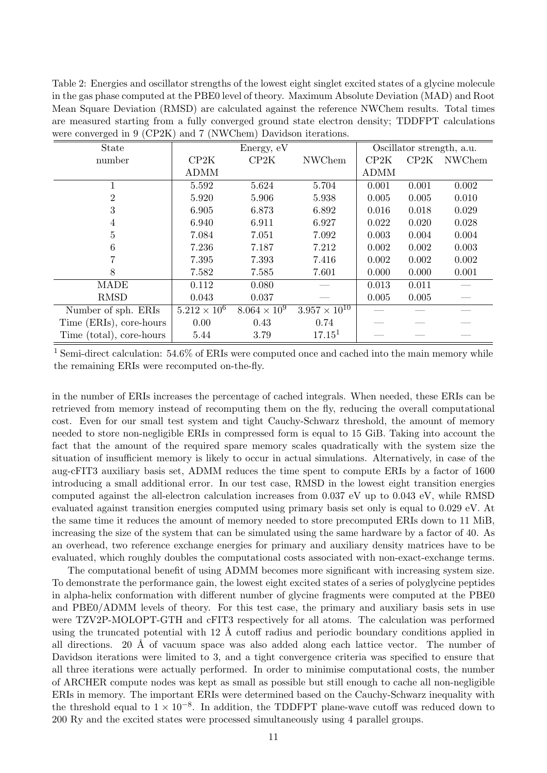<span id="page-10-0"></span>Table 2: Energies and oscillator strengths of the lowest eight singlet excited states of a glycine molecule in the gas phase computed at the PBE0 level of theory. Maximum Absolute Deviation (MAD) and Root Mean Square Deviation (RMSD) are calculated against the reference NWChem results. Total times are measured starting from a fully converged ground state electron density; TDDFPT calculations were converged in 9 (CP2K) and 7 (NWChem) Davidson iterations.

| State                    | Energy, eV            |                       |                        | Oscillator strength, a.u. |       |        |  |
|--------------------------|-----------------------|-----------------------|------------------------|---------------------------|-------|--------|--|
| number                   | CP2K                  | CP2K                  | <b>NWChem</b>          | CP2K                      | CP2K  | NWChem |  |
|                          | <b>ADMM</b>           |                       |                        | <b>ADMM</b>               |       |        |  |
|                          | 5.592                 | 5.624                 | 5.704                  | 0.001                     | 0.001 | 0.002  |  |
| 2                        | 5.920                 | 5.906                 | 5.938                  | 0.005                     | 0.005 | 0.010  |  |
| 3                        | 6.905                 | 6.873                 | 6.892                  | 0.016                     | 0.018 | 0.029  |  |
| 4                        | 6.940                 | 6.911                 | 6.927                  | 0.022                     | 0.020 | 0.028  |  |
| 5                        | 7.084                 | 7.051                 | 7.092                  | 0.003                     | 0.004 | 0.004  |  |
| 6                        | 7.236                 | 7.187                 | 7.212                  | 0.002                     | 0.002 | 0.003  |  |
|                          | 7.395                 | 7.393                 | 7.416                  | 0.002                     | 0.002 | 0.002  |  |
| 8                        | 7.582                 | 7.585                 | 7.601                  | 0.000                     | 0.000 | 0.001  |  |
| <b>MADE</b>              | 0.112                 | 0.080                 |                        | 0.013                     | 0.011 |        |  |
| <b>RMSD</b>              | 0.043                 | 0.037                 |                        | 0.005                     | 0.005 |        |  |
| Number of sph. ERIs      | $5.212 \times 10^{6}$ | $8.064 \times 10^{9}$ | $3.957 \times 10^{10}$ |                           |       |        |  |
| Time (ERIs), core-hours  | 0.00                  | 0.43                  | 0.74                   |                           |       |        |  |
| Time (total), core-hours | 5.44                  | 3.79                  | 17.15 <sup>1</sup>     |                           |       |        |  |

<sup>1</sup> Semi-direct calculation: 54.6% of ERIs were computed once and cached into the main memory while the remaining ERIs were recomputed on-the-fly.

in the number of ERIs increases the percentage of cached integrals. When needed, these ERIs can be retrieved from memory instead of recomputing them on the fly, reducing the overall computational cost. Even for our small test system and tight Cauchy-Schwarz threshold, the amount of memory needed to store non-negligible ERIs in compressed form is equal to 15 GiB. Taking into account the fact that the amount of the required spare memory scales quadratically with the system size the situation of insufficient memory is likely to occur in actual simulations. Alternatively, in case of the aug-cFIT3 auxiliary basis set, ADMM reduces the time spent to compute ERIs by a factor of 1600 introducing a small additional error. In our test case, RMSD in the lowest eight transition energies computed against the all-electron calculation increases from 0.037 eV up to 0.043 eV, while RMSD evaluated against transition energies computed using primary basis set only is equal to 0.029 eV. At the same time it reduces the amount of memory needed to store precomputed ERIs down to 11 MiB, increasing the size of the system that can be simulated using the same hardware by a factor of 40. As an overhead, two reference exchange energies for primary and auxiliary density matrices have to be evaluated, which roughly doubles the computational costs associated with non-exact-exchange terms.

The computational benefit of using ADMM becomes more significant with increasing system size. To demonstrate the performance gain, the lowest eight excited states of a series of polyglycine peptides in alpha-helix conformation with different number of glycine fragments were computed at the PBE0 and PBE0/ADMM levels of theory. For this test case, the primary and auxiliary basis sets in use were TZV2P-MOLOPT-GTH and cFIT3 respectively for all atoms. The calculation was performed using the truncated potential with 12  $\AA$  cutoff radius and periodic boundary conditions applied in all directions. 20 Å of vacuum space was also added along each lattice vector. The number of Davidson iterations were limited to 3, and a tight convergence criteria was specified to ensure that all three iterations were actually performed. In order to minimise computational costs, the number of ARCHER compute nodes was kept as small as possible but still enough to cache all non-negligible ERIs in memory. The important ERIs were determined based on the Cauchy-Schwarz inequality with the threshold equal to  $1 \times 10^{-8}$ . In addition, the TDDFPT plane-wave cutoff was reduced down to 200 Ry and the excited states were processed simultaneously using 4 parallel groups.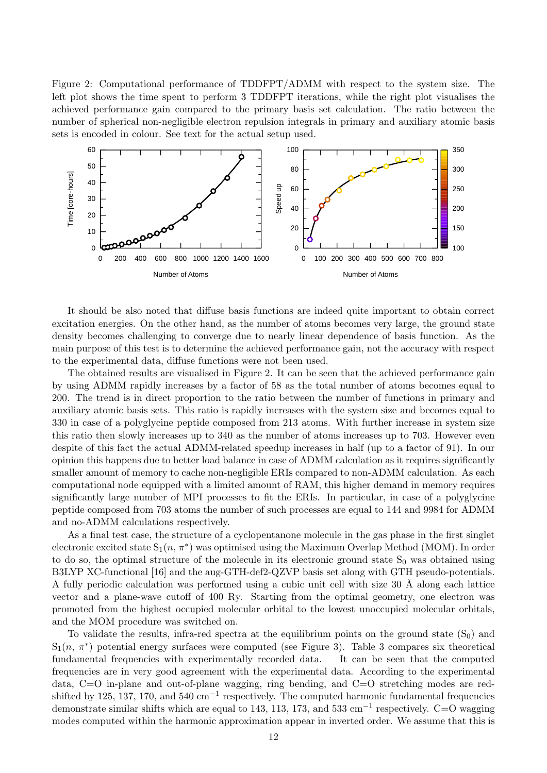<span id="page-11-0"></span>Figure 2: Computational performance of TDDFPT/ADMM with respect to the system size. The left plot shows the time spent to perform 3 TDDFPT iterations, while the right plot visualises the achieved performance gain compared to the primary basis set calculation. The ratio between the number of spherical non-negligible electron repulsion integrals in primary and auxiliary atomic basis sets is encoded in colour. See text for the actual setup used.



It should be also noted that diffuse basis functions are indeed quite important to obtain correct excitation energies. On the other hand, as the number of atoms becomes very large, the ground state density becomes challenging to converge due to nearly linear dependence of basis function. As the main purpose of this test is to determine the achieved performance gain, not the accuracy with respect to the experimental data, diffuse functions were not been used.

The obtained results are visualised in Figure [2.](#page-11-0) It can be seen that the achieved performance gain by using ADMM rapidly increases by a factor of 58 as the total number of atoms becomes equal to 200. The trend is in direct proportion to the ratio between the number of functions in primary and auxiliary atomic basis sets. This ratio is rapidly increases with the system size and becomes equal to 330 in case of a polyglycine peptide composed from 213 atoms. With further increase in system size this ratio then slowly increases up to 340 as the number of atoms increases up to 703. However even despite of this fact the actual ADMM-related speedup increases in half (up to a factor of 91). In our opinion this happens due to better load balance in case of ADMM calculation as it requires significantly smaller amount of memory to cache non-negligible ERIs compared to non-ADMM calculation. As each computational node equipped with a limited amount of RAM, this higher demand in memory requires significantly large number of MPI processes to fit the ERIs. In particular, in case of a polyglycine peptide composed from 703 atoms the number of such processes are equal to 144 and 9984 for ADMM and no-ADMM calculations respectively.

As a final test case, the structure of a cyclopentanone molecule in the gas phase in the first singlet electronic excited state  $S_1(n, \pi^*)$  was optimised using the Maximum Overlap Method (MOM). In order to do so, the optimal structure of the molecule in its electronic ground state  $S_0$  was obtained using B3LYP XC-functional [\[16\]](#page-13-15) and the aug-GTH-def2-QZVP basis set along with GTH pseudo-potentials. A fully periodic calculation was performed using a cubic unit cell with size 30 Å along each lattice vector and a plane-wave cutoff of 400 Ry. Starting from the optimal geometry, one electron was promoted from the highest occupied molecular orbital to the lowest unoccupied molecular orbitals, and the MOM procedure was switched on.

To validate the results, infra-red spectra at the equilibrium points on the ground state  $(S_0)$  and  $S_1(n, \pi^*)$  potential energy surfaces were computed (see Figure [3\)](#page-12-0). Table [3](#page-12-1) compares six theoretical fundamental frequencies with experimentally recorded data. It can be seen that the computed frequencies are in very good agreement with the experimental data. According to the experimental data, C=O in-plane and out-of-plane wagging, ring bending, and C=O stretching modes are redshifted by 125, 137, 170, and 540  $\text{cm}^{-1}$  respectively. The computed harmonic fundamental frequencies demonstrate similar shifts which are equal to 143, 113, 173, and 533 cm<sup>-1</sup> respectively. C=O wagging modes computed within the harmonic approximation appear in inverted order. We assume that this is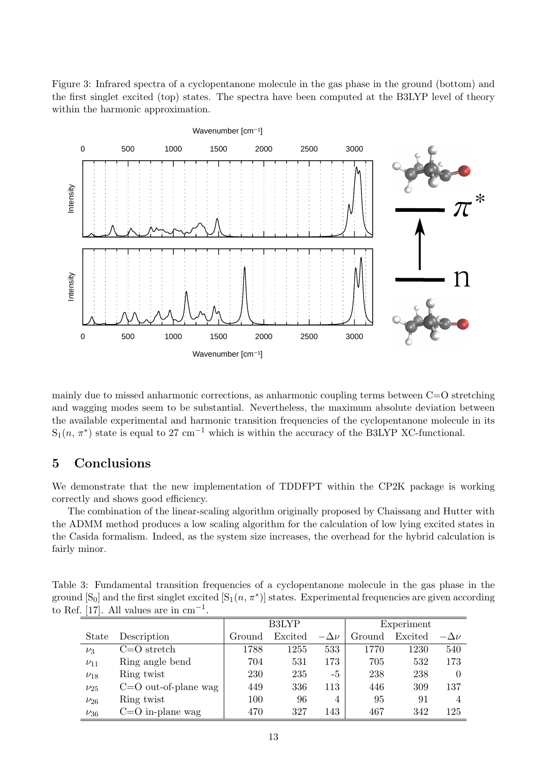<span id="page-12-0"></span>Figure 3: Infrared spectra of a cyclopentanone molecule in the gas phase in the ground (bottom) and the first singlet excited (top) states. The spectra have been computed at the B3LYP level of theory within the harmonic approximation.



mainly due to missed anharmonic corrections, as anharmonic coupling terms between  $C=O$  stretching and wagging modes seem to be substantial. Nevertheless, the maximum absolute deviation between the available experimental and harmonic transition frequencies of the cyclopentanone molecule in its  $S_1(n, \pi^*)$  state is equal to 27 cm<sup>-1</sup> which is within the accuracy of the B3LYP XC-functional.

## 5 Conclusions

We demonstrate that the new implementation of TDDFPT within the CP2K package is working correctly and shows good efficiency.

The combination of the linear-scaling algorithm originally proposed by Chaissang and Hutter with the ADMM method produces a low scaling algorithm for the calculation of low lying excited states in the Casida formalism. Indeed, as the system size increases, the overhead for the hybrid calculation is fairly minor.

<span id="page-12-1"></span>Table 3: Fundamental transition frequencies of a cyclopentanone molecule in the gas phase in the ground  $[S_0]$  and the first singlet excited  $[S_1(n, \pi^*)]$  states. Experimental frequencies are given according to Ref. [\[17\]](#page-13-16). All values are in  $cm^{-1}$ .

|              |                          | <b>B3LYP</b> |         |                | Experiment |         |                |  |
|--------------|--------------------------|--------------|---------|----------------|------------|---------|----------------|--|
| <b>State</b> | Description              | Ground       | Excited | $-\Delta \nu$  | Ground     | Excited | $-\Delta \nu$  |  |
| $\nu_3$      | $C = O$ stretch          | 1788         | 1255    | 533            | 1770       | 1230    | 540            |  |
| $\nu_{11}$   | Ring angle bend          | 704          | 531     | 173            | 705        | 532     | 173            |  |
| $\nu_{18}$   | Ring twist               | 230          | 235     | -5             | 238        | 238     | 0              |  |
| $\nu_{25}$   | $C = O$ out-of-plane wag | 449          | 336     | 113            | 446        | 309     | 137            |  |
| $\nu_{26}$   | Ring twist               | 100          | 96      | $\overline{4}$ | 95         | 91      | $\overline{4}$ |  |
| $\nu_{36}$   | $C=O$ in-plane wag       | 470          | 327     | 143            | 467        | 342     | 125            |  |